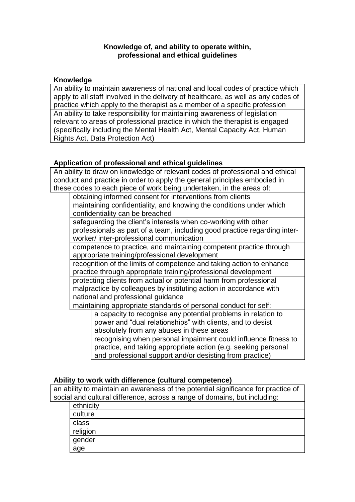## **Knowledge of, and ability to operate within, professional and ethical guidelines**

## **Knowledge**

An ability to maintain awareness of national and local codes of practice which apply to all staff involved in the delivery of healthcare, as well as any codes of practice which apply to the therapist as a member of a specific profession An ability to take responsibility for maintaining awareness of legislation relevant to areas of professional practice in which the therapist is engaged (specifically including the Mental Health Act, Mental Capacity Act, Human Rights Act, Data Protection Act)

## **Application of professional and ethical guidelines**

An ability to draw on knowledge of relevant codes of professional and ethical conduct and practice in order to apply the general principles embodied in these codes to each piece of work being undertaken, in the areas of:

obtaining informed consent for interventions from clients

maintaining confidentiality, and knowing the conditions under which confidentiality can be breached

safeguarding the client's interests when co-working with other professionals as part of a team, including good practice regarding interworker/ inter-professional communication

competence to practice, and maintaining competent practice through appropriate training/professional development

recognition of the limits of competence and taking action to enhance practice through appropriate training/professional development

protecting clients from actual or potential harm from professional malpractice by colleagues by instituting action in accordance with national and professional guidance

maintaining appropriate standards of personal conduct for self:

a capacity to recognise any potential problems in relation to power and "dual relationships" with clients, and to desist absolutely from any abuses in these areas

recognising when personal impairment could influence fitness to practice, and taking appropriate action (e.g. seeking personal and professional support and/or desisting from practice)

## **Ability to work with difference (cultural competence)**

an ability to maintain an awareness of the potential significance for practice of social and cultural difference, across a range of domains, but including:

| ethnicity |  |
|-----------|--|
| culture   |  |
| class     |  |
| religion  |  |
| gender    |  |
| age       |  |